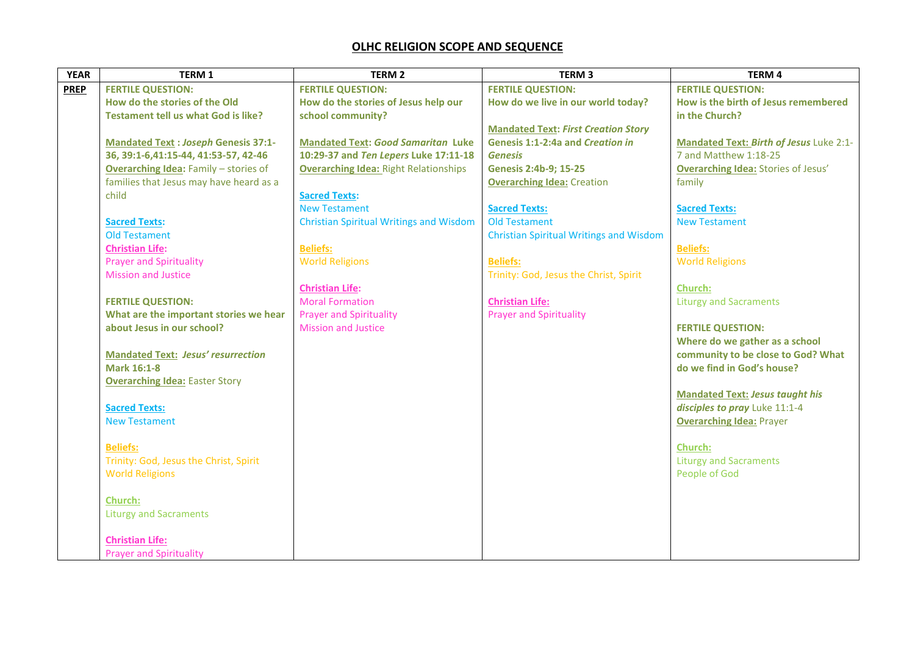## **OLHC RELIGION SCOPE AND SEQUENCE**

| <b>YEAR</b> | <b>TERM 1</b>                                | <b>TERM 2</b>                                  | <b>TERM3</b>                                   | <b>TERM4</b>                               |
|-------------|----------------------------------------------|------------------------------------------------|------------------------------------------------|--------------------------------------------|
| <b>PREP</b> | <b>FERTILE QUESTION:</b>                     | <b>FERTILE QUESTION:</b>                       | <b>FERTILE QUESTION:</b>                       | <b>FERTILE QUESTION:</b>                   |
|             | How do the stories of the Old                | How do the stories of Jesus help our           | How do we live in our world today?             | How is the birth of Jesus remembered       |
|             | <b>Testament tell us what God is like?</b>   | school community?                              |                                                | in the Church?                             |
|             |                                              |                                                | <b>Mandated Text: First Creation Story</b>     |                                            |
|             | <b>Mandated Text : Joseph Genesis 37:1-</b>  | <b>Mandated Text: Good Samaritan Luke</b>      | Genesis 1:1-2:4a and Creation in               | Mandated Text: Birth of Jesus Luke 2:1-    |
|             | 36, 39:1-6, 41:15-44, 41:53-57, 42-46        | 10:29-37 and Ten Lepers Luke 17:11-18          | <b>Genesis</b>                                 | 7 and Matthew 1:18-25                      |
|             | <b>Overarching Idea: Family - stories of</b> | <b>Overarching Idea: Right Relationships</b>   | <b>Genesis 2:4b-9; 15-25</b>                   | <b>Overarching Idea: Stories of Jesus'</b> |
|             | families that Jesus may have heard as a      |                                                | <b>Overarching Idea: Creation</b>              | family                                     |
|             | child                                        | <b>Sacred Texts:</b>                           |                                                |                                            |
|             |                                              | <b>New Testament</b>                           | <b>Sacred Texts:</b>                           | <b>Sacred Texts:</b>                       |
|             | <b>Sacred Texts:</b>                         | <b>Christian Spiritual Writings and Wisdom</b> | <b>Old Testament</b>                           | <b>New Testament</b>                       |
|             | <b>Old Testament</b>                         |                                                | <b>Christian Spiritual Writings and Wisdom</b> |                                            |
|             | <b>Christian Life:</b>                       | <b>Beliefs:</b>                                |                                                | <b>Beliefs:</b>                            |
|             | <b>Prayer and Spirituality</b>               | <b>World Religions</b>                         | <b>Beliefs:</b>                                | <b>World Religions</b>                     |
|             | <b>Mission and Justice</b>                   |                                                | Trinity: God, Jesus the Christ, Spirit         |                                            |
|             |                                              | <b>Christian Life:</b>                         |                                                | <b>Church:</b>                             |
|             | <b>FERTILE QUESTION:</b>                     | <b>Moral Formation</b>                         | <b>Christian Life:</b>                         | <b>Liturgy and Sacraments</b>              |
|             | What are the important stories we hear       | <b>Prayer and Spirituality</b>                 | <b>Prayer and Spirituality</b>                 |                                            |
|             | about Jesus in our school?                   | <b>Mission and Justice</b>                     |                                                | <b>FERTILE QUESTION:</b>                   |
|             |                                              |                                                |                                                | Where do we gather as a school             |
|             | <b>Mandated Text: Jesus' resurrection</b>    |                                                |                                                | community to be close to God? What         |
|             | <b>Mark 16:1-8</b>                           |                                                |                                                | do we find in God's house?                 |
|             | <b>Overarching Idea: Easter Story</b>        |                                                |                                                |                                            |
|             |                                              |                                                |                                                | <b>Mandated Text: Jesus taught his</b>     |
|             | <b>Sacred Texts:</b>                         |                                                |                                                | disciples to pray Luke 11:1-4              |
|             | <b>New Testament</b>                         |                                                |                                                | <b>Overarching Idea: Prayer</b>            |
|             |                                              |                                                |                                                |                                            |
|             | <b>Beliefs:</b>                              |                                                |                                                | Church:                                    |
|             | Trinity: God, Jesus the Christ, Spirit       |                                                |                                                | <b>Liturgy and Sacraments</b>              |
|             | <b>World Religions</b>                       |                                                |                                                | People of God                              |
|             |                                              |                                                |                                                |                                            |
|             | <b>Church:</b>                               |                                                |                                                |                                            |
|             | <b>Liturgy and Sacraments</b>                |                                                |                                                |                                            |
|             | <b>Christian Life:</b>                       |                                                |                                                |                                            |
|             | <b>Prayer and Spirituality</b>               |                                                |                                                |                                            |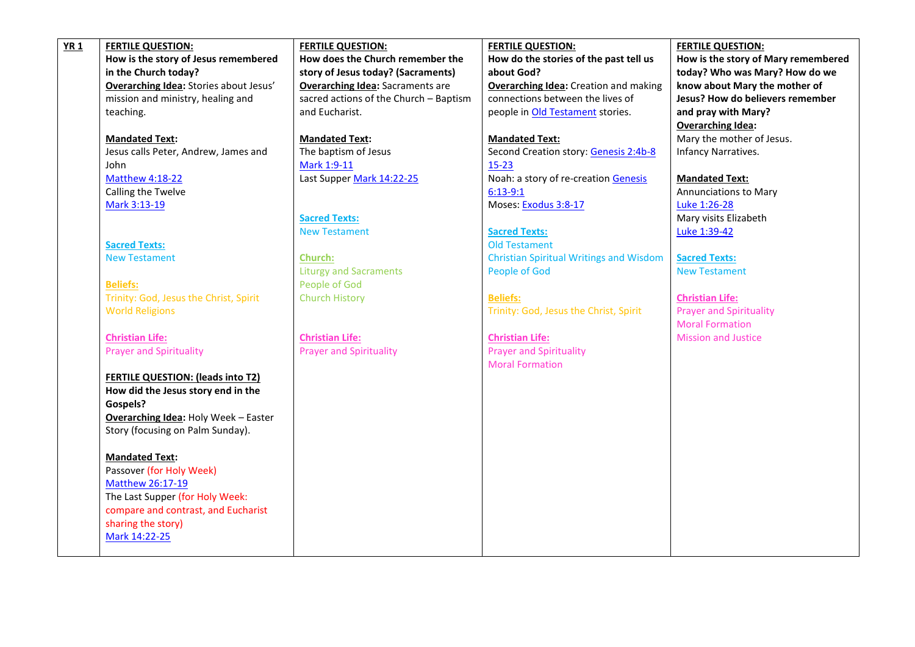| <b>YR1</b> | <b>FERTILE QUESTION:</b>                            | <b>FERTILE QUESTION:</b>                | <b>FERTILE QUESTION:</b>                       | <b>FERTILE QUESTION:</b>            |
|------------|-----------------------------------------------------|-----------------------------------------|------------------------------------------------|-------------------------------------|
|            | How is the story of Jesus remembered                | How does the Church remember the        | How do the stories of the past tell us         | How is the story of Mary remembered |
|            | in the Church today?                                | story of Jesus today? (Sacraments)      | about God?                                     | today? Who was Mary? How do we      |
|            | Overarching Idea: Stories about Jesus'              | <b>Overarching Idea: Sacraments are</b> | <b>Overarching Idea:</b> Creation and making   | know about Mary the mother of       |
|            | mission and ministry, healing and                   | sacred actions of the Church - Baptism  | connections between the lives of               | Jesus? How do believers remember    |
|            | teaching.                                           | and Eucharist.                          | people in Old Testament stories.               | and pray with Mary?                 |
|            |                                                     |                                         |                                                | <b>Overarching Idea:</b>            |
|            | <b>Mandated Text:</b>                               | <b>Mandated Text:</b>                   | <b>Mandated Text:</b>                          | Mary the mother of Jesus.           |
|            | Jesus calls Peter, Andrew, James and                | The baptism of Jesus                    | Second Creation story: Genesis 2:4b-8          | Infancy Narratives.                 |
|            | John                                                | Mark 1:9-11                             | $15 - 23$                                      |                                     |
|            | Matthew 4:18-22                                     | Last Supper Mark 14:22-25               | Noah: a story of re-creation Genesis           | <b>Mandated Text:</b>               |
|            | Calling the Twelve                                  |                                         | $6:13-9:1$                                     | <b>Annunciations to Mary</b>        |
|            | Mark 3:13-19                                        |                                         | Moses: Exodus 3:8-17                           | Luke 1:26-28                        |
|            |                                                     | <b>Sacred Texts:</b>                    |                                                | Mary visits Elizabeth               |
|            |                                                     | <b>New Testament</b>                    | <b>Sacred Texts:</b>                           | Luke 1:39-42                        |
|            | <b>Sacred Texts:</b>                                |                                         | <b>Old Testament</b>                           |                                     |
|            | <b>New Testament</b>                                | <b>Church:</b>                          | <b>Christian Spiritual Writings and Wisdom</b> | <b>Sacred Texts:</b>                |
|            |                                                     | <b>Liturgy and Sacraments</b>           | People of God                                  | <b>New Testament</b>                |
|            | <b>Beliefs:</b>                                     | People of God                           |                                                |                                     |
|            | Trinity: God, Jesus the Christ, Spirit              | <b>Church History</b>                   | <b>Beliefs:</b>                                | <b>Christian Life:</b>              |
|            | <b>World Religions</b>                              |                                         | Trinity: God, Jesus the Christ, Spirit         | <b>Prayer and Spirituality</b>      |
|            |                                                     |                                         |                                                | <b>Moral Formation</b>              |
|            | <b>Christian Life:</b>                              | <b>Christian Life:</b>                  | <b>Christian Life:</b>                         | <b>Mission and Justice</b>          |
|            | <b>Prayer and Spirituality</b>                      | <b>Prayer and Spirituality</b>          | <b>Prayer and Spirituality</b>                 |                                     |
|            |                                                     |                                         | <b>Moral Formation</b>                         |                                     |
|            | <b>FERTILE QUESTION: (leads into T2)</b>            |                                         |                                                |                                     |
|            | How did the Jesus story end in the                  |                                         |                                                |                                     |
|            | Gospels?                                            |                                         |                                                |                                     |
|            | <b>Overarching Idea: Holy Week - Easter</b>         |                                         |                                                |                                     |
|            | Story (focusing on Palm Sunday).                    |                                         |                                                |                                     |
|            |                                                     |                                         |                                                |                                     |
|            | <b>Mandated Text:</b><br>Passover (for Holy Week)   |                                         |                                                |                                     |
|            |                                                     |                                         |                                                |                                     |
|            | Matthew 26:17-19<br>The Last Supper (for Holy Week: |                                         |                                                |                                     |
|            | compare and contrast, and Eucharist                 |                                         |                                                |                                     |
|            | sharing the story)                                  |                                         |                                                |                                     |
|            | Mark 14:22-25                                       |                                         |                                                |                                     |
|            |                                                     |                                         |                                                |                                     |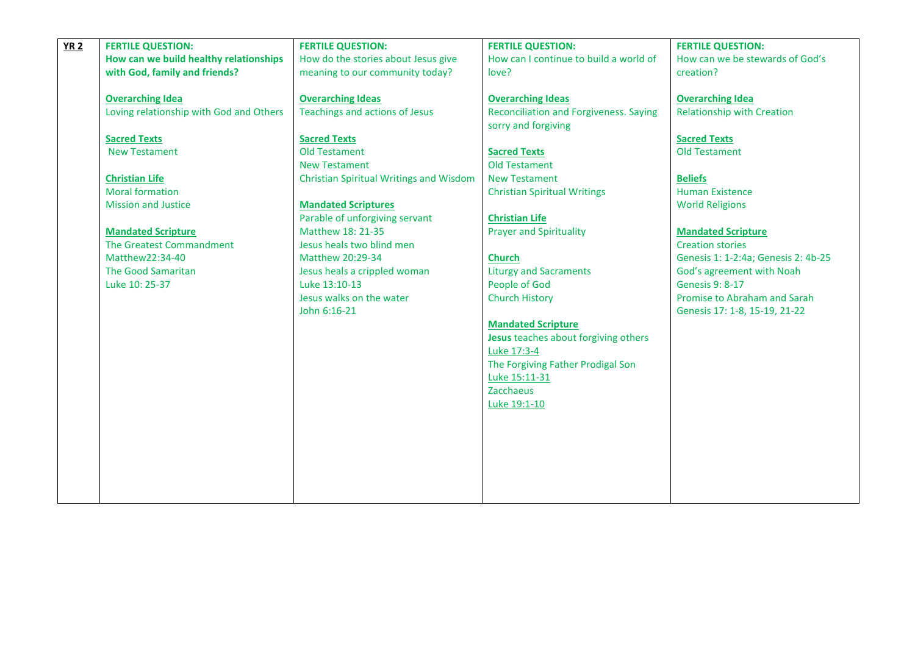| <b>YR 2</b> | <b>FERTILE QUESTION:</b>                | <b>FERTILE QUESTION:</b>                | <b>FERTILE QUESTION:</b>                      | <b>FERTILE QUESTION:</b>            |
|-------------|-----------------------------------------|-----------------------------------------|-----------------------------------------------|-------------------------------------|
|             | How can we build healthy relationships  | How do the stories about Jesus give     | How can I continue to build a world of        | How can we be stewards of God's     |
|             | with God, family and friends?           | meaning to our community today?         | love?                                         | creation?                           |
|             |                                         |                                         |                                               |                                     |
|             | <b>Overarching Idea</b>                 | <b>Overarching Ideas</b>                | <b>Overarching Ideas</b>                      | <b>Overarching Idea</b>             |
|             | Loving relationship with God and Others | Teachings and actions of Jesus          | <b>Reconciliation and Forgiveness. Saying</b> | <b>Relationship with Creation</b>   |
|             |                                         |                                         | sorry and forgiving                           |                                     |
|             | <b>Sacred Texts</b>                     | <b>Sacred Texts</b>                     |                                               | <b>Sacred Texts</b>                 |
|             | <b>New Testament</b>                    | <b>Old Testament</b>                    | <b>Sacred Texts</b>                           | <b>Old Testament</b>                |
|             |                                         | <b>New Testament</b>                    | <b>Old Testament</b>                          |                                     |
|             | <b>Christian Life</b>                   | Christian Spiritual Writings and Wisdom | <b>New Testament</b>                          | <b>Beliefs</b>                      |
|             | <b>Moral formation</b>                  |                                         | <b>Christian Spiritual Writings</b>           | <b>Human Existence</b>              |
|             | <b>Mission and Justice</b>              | <b>Mandated Scriptures</b>              |                                               | <b>World Religions</b>              |
|             |                                         | Parable of unforgiving servant          | <b>Christian Life</b>                         |                                     |
|             | <b>Mandated Scripture</b>               | Matthew 18: 21-35                       | <b>Prayer and Spirituality</b>                | <b>Mandated Scripture</b>           |
|             | The Greatest Commandment                | Jesus heals two blind men               |                                               | <b>Creation stories</b>             |
|             | Matthew22:34-40                         | Matthew 20:29-34                        | <b>Church</b>                                 | Genesis 1: 1-2:4a; Genesis 2: 4b-25 |
|             | <b>The Good Samaritan</b>               | Jesus heals a crippled woman            | <b>Liturgy and Sacraments</b>                 | God's agreement with Noah           |
|             | Luke 10: 25-37                          | Luke 13:10-13                           | People of God                                 | <b>Genesis 9: 8-17</b>              |
|             |                                         | Jesus walks on the water                | <b>Church History</b>                         | Promise to Abraham and Sarah        |
|             |                                         | John 6:16-21                            |                                               | Genesis 17: 1-8, 15-19, 21-22       |
|             |                                         |                                         | <b>Mandated Scripture</b>                     |                                     |
|             |                                         |                                         | Jesus teaches about forgiving others          |                                     |
|             |                                         |                                         | Luke 17:3-4                                   |                                     |
|             |                                         |                                         | The Forgiving Father Prodigal Son             |                                     |
|             |                                         |                                         | Luke 15:11-31                                 |                                     |
|             |                                         |                                         | Zacchaeus                                     |                                     |
|             |                                         |                                         | Luke 19:1-10                                  |                                     |
|             |                                         |                                         |                                               |                                     |
|             |                                         |                                         |                                               |                                     |
|             |                                         |                                         |                                               |                                     |
|             |                                         |                                         |                                               |                                     |
|             |                                         |                                         |                                               |                                     |
|             |                                         |                                         |                                               |                                     |
|             |                                         |                                         |                                               |                                     |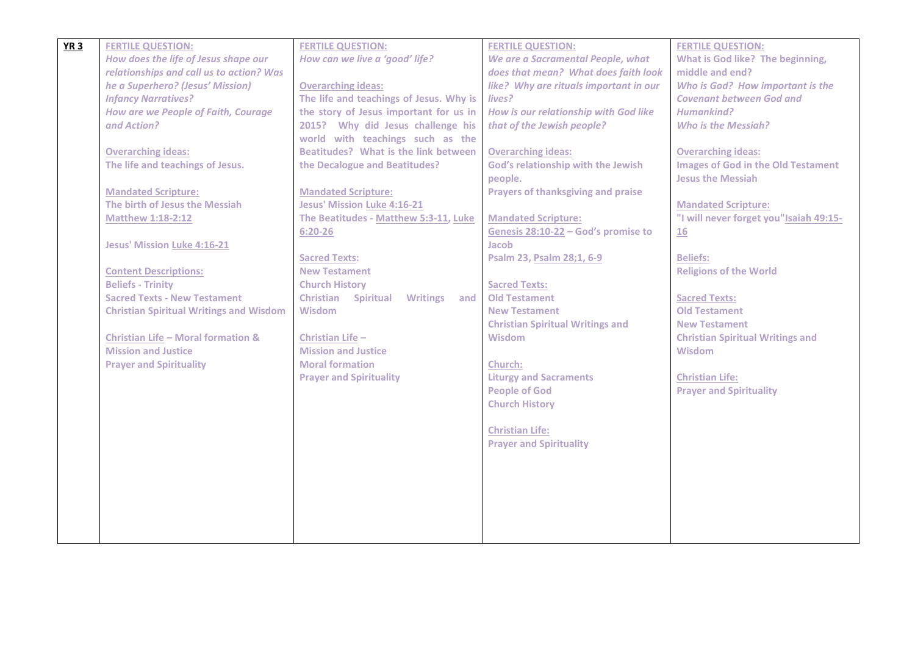| YR <sub>3</sub> | <b>FERTILE QUESTION:</b>                       | <b>FERTILE QUESTION:</b>                             | <b>FERTILE QUESTION:</b>                  | <b>FERTILE QUESTION:</b>                  |
|-----------------|------------------------------------------------|------------------------------------------------------|-------------------------------------------|-------------------------------------------|
|                 | How does the life of Jesus shape our           | How can we live a 'good' life?                       | We are a Sacramental People, what         | What is God like? The beginning,          |
|                 | relationships and call us to action? Was       |                                                      | does that mean? What does faith look      | middle and end?                           |
|                 | he a Superhero? (Jesus' Mission)               | <b>Overarching ideas:</b>                            | like? Why are rituals important in our    | Who is God? How important is the          |
|                 | <b>Infancy Narratives?</b>                     | The life and teachings of Jesus. Why is              | lives?                                    | <b>Covenant between God and</b>           |
|                 | <b>How are we People of Faith, Courage</b>     | the story of Jesus important for us in               | How is our relationship with God like     | Humankind?                                |
|                 | and Action?                                    | 2015? Why did Jesus challenge his                    | that of the Jewish people?                | <b>Who is the Messiah?</b>                |
|                 |                                                | world with teachings such as the                     |                                           |                                           |
|                 | <b>Overarching ideas:</b>                      | Beatitudes? What is the link between                 | <b>Overarching ideas:</b>                 | <b>Overarching ideas:</b>                 |
|                 | The life and teachings of Jesus.               | the Decalogue and Beatitudes?                        | God's relationship with the Jewish        | <b>Images of God in the Old Testament</b> |
|                 |                                                |                                                      | people.                                   | <b>Jesus the Messiah</b>                  |
|                 | <b>Mandated Scripture:</b>                     | <b>Mandated Scripture:</b>                           | <b>Prayers of thanksgiving and praise</b> |                                           |
|                 | The birth of Jesus the Messiah                 | <b>Jesus' Mission Luke 4:16-21</b>                   |                                           | <b>Mandated Scripture:</b>                |
|                 | <b>Matthew 1:18-2:12</b>                       | The Beatitudes - Matthew 5:3-11, Luke                | <b>Mandated Scripture:</b>                | "I will never forget you" Isaiah 49:15-   |
|                 |                                                | $6:20 - 26$                                          | Genesis 28:10-22 - God's promise to       | <u>16</u>                                 |
|                 | <b>Jesus' Mission Luke 4:16-21</b>             |                                                      | Jacob                                     |                                           |
|                 |                                                | <b>Sacred Texts:</b>                                 | Psalm 23, Psalm 28;1, 6-9                 | <b>Beliefs:</b>                           |
|                 | <b>Content Descriptions:</b>                   | <b>New Testament</b>                                 |                                           | <b>Religions of the World</b>             |
|                 | <b>Beliefs - Trinity</b>                       | <b>Church History</b>                                | <b>Sacred Texts:</b>                      |                                           |
|                 | <b>Sacred Texts - New Testament</b>            | <b>Christian Spiritual</b><br><b>Writings</b><br>and | <b>Old Testament</b>                      | <b>Sacred Texts:</b>                      |
|                 | <b>Christian Spiritual Writings and Wisdom</b> | <b>Wisdom</b>                                        | <b>New Testament</b>                      | <b>Old Testament</b>                      |
|                 |                                                |                                                      | <b>Christian Spiritual Writings and</b>   | <b>New Testament</b>                      |
|                 | <b>Christian Life - Moral formation &amp;</b>  | Christian Life -                                     | <b>Wisdom</b>                             | <b>Christian Spiritual Writings and</b>   |
|                 | <b>Mission and Justice</b>                     | <b>Mission and Justice</b>                           |                                           | Wisdom                                    |
|                 | <b>Prayer and Spirituality</b>                 | <b>Moral formation</b>                               | <b>Church:</b>                            |                                           |
|                 |                                                | <b>Prayer and Spirituality</b>                       | <b>Liturgy and Sacraments</b>             | <b>Christian Life:</b>                    |
|                 |                                                |                                                      | <b>People of God</b>                      | <b>Prayer and Spirituality</b>            |
|                 |                                                |                                                      | <b>Church History</b>                     |                                           |
|                 |                                                |                                                      |                                           |                                           |
|                 |                                                |                                                      | <b>Christian Life:</b>                    |                                           |
|                 |                                                |                                                      | <b>Prayer and Spirituality</b>            |                                           |
|                 |                                                |                                                      |                                           |                                           |
|                 |                                                |                                                      |                                           |                                           |
|                 |                                                |                                                      |                                           |                                           |
|                 |                                                |                                                      |                                           |                                           |
|                 |                                                |                                                      |                                           |                                           |
|                 |                                                |                                                      |                                           |                                           |
|                 |                                                |                                                      |                                           |                                           |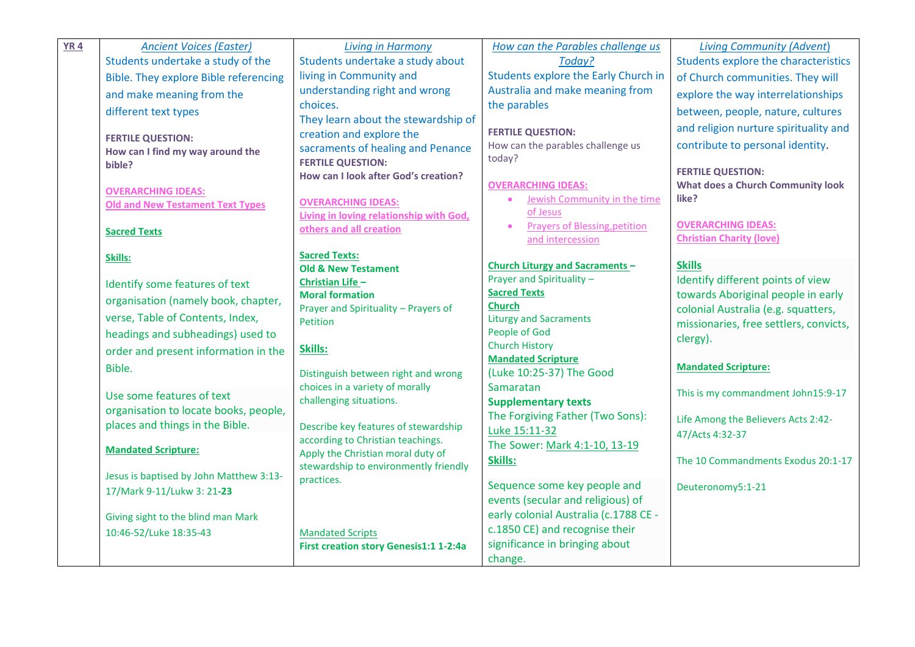| <b>YR4</b> | <b>Ancient Voices (Easter)</b>               | <b>Living in Harmony</b>                                               | How can the Parables challenge us                      | <b>Living Community (Advent)</b>         |
|------------|----------------------------------------------|------------------------------------------------------------------------|--------------------------------------------------------|------------------------------------------|
|            | Students undertake a study of the            | Students undertake a study about                                       | Today?                                                 | Students explore the characteristics     |
|            | <b>Bible. They explore Bible referencing</b> | living in Community and                                                | Students explore the Early Church in                   | of Church communities. They will         |
|            | and make meaning from the                    | understanding right and wrong                                          | Australia and make meaning from                        | explore the way interrelationships       |
|            | different text types                         | choices.                                                               | the parables                                           | between, people, nature, cultures        |
|            |                                              | They learn about the stewardship of                                    | <b>FERTILE QUESTION:</b>                               | and religion nurture spirituality and    |
|            | <b>FERTILE QUESTION:</b>                     | creation and explore the                                               | How can the parables challenge us                      | contribute to personal identity.         |
|            | How can I find my way around the<br>bible?   | sacraments of healing and Penance<br><b>FERTILE QUESTION:</b>          | today?                                                 |                                          |
|            |                                              | How can I look after God's creation?                                   |                                                        | <b>FERTILE QUESTION:</b>                 |
|            | <b>OVERARCHING IDEAS:</b>                    |                                                                        | <b>OVERARCHING IDEAS:</b>                              | <b>What does a Church Community look</b> |
|            | <b>Old and New Testament Text Types</b>      | <b>OVERARCHING IDEAS:</b>                                              | Jewish Community in the time                           | like?                                    |
|            |                                              | Living in loving relationship with God,                                | of Jesus<br>Prayers of Blessing, petition<br>$\bullet$ | <b>OVERARCHING IDEAS:</b>                |
|            | <b>Sacred Texts</b>                          | others and all creation                                                | and intercession                                       | <b>Christian Charity (love)</b>          |
|            | Skills:                                      | <b>Sacred Texts:</b>                                                   |                                                        |                                          |
|            |                                              | <b>Old &amp; New Testament</b>                                         | <b>Church Liturgy and Sacraments-</b>                  | <b>Skills</b>                            |
|            | Identify some features of text               | Christian Life -                                                       | Prayer and Spirituality -                              | Identify different points of view        |
|            | organisation (namely book, chapter,          | <b>Moral formation</b>                                                 | <b>Sacred Texts</b>                                    | towards Aboriginal people in early       |
|            | verse, Table of Contents, Index,             | Prayer and Spirituality - Prayers of                                   | <b>Church</b>                                          | colonial Australia (e.g. squatters,      |
|            |                                              | Petition                                                               | <b>Liturgy and Sacraments</b><br>People of God         | missionaries, free settlers, convicts,   |
|            | headings and subheadings) used to            |                                                                        | <b>Church History</b>                                  | clergy).                                 |
|            | order and present information in the         | Skills:                                                                | <b>Mandated Scripture</b>                              |                                          |
|            | Bible.                                       | Distinguish between right and wrong                                    | (Luke 10:25-37) The Good                               | <b>Mandated Scripture:</b>               |
|            |                                              | choices in a variety of morally                                        | Samaratan                                              | This is my commandment John15:9-17       |
|            | Use some features of text                    | challenging situations.                                                | <b>Supplementary texts</b>                             |                                          |
|            | organisation to locate books, people,        |                                                                        | The Forgiving Father (Two Sons):                       | Life Among the Believers Acts 2:42-      |
|            | places and things in the Bible.              | Describe key features of stewardship                                   | Luke 15:11-32                                          | 47/Acts 4:32-37                          |
|            | <b>Mandated Scripture:</b>                   | according to Christian teachings.<br>Apply the Christian moral duty of | The Sower: Mark 4:1-10, 13-19                          |                                          |
|            |                                              | stewardship to environmently friendly                                  | Skills:                                                | The 10 Commandments Exodus 20:1-17       |
|            | Jesus is baptised by John Matthew 3:13-      | practices.                                                             |                                                        |                                          |
|            | 17/Mark 9-11/Lukw 3: 21-23                   |                                                                        | Sequence some key people and                           | Deuteronomy5:1-21                        |
|            |                                              |                                                                        | events (secular and religious) of                      |                                          |
|            | Giving sight to the blind man Mark           |                                                                        | early colonial Australia (c.1788 CE -                  |                                          |
|            | 10:46-52/Luke 18:35-43                       | <b>Mandated Scripts</b>                                                | c.1850 CE) and recognise their                         |                                          |
|            |                                              | First creation story Genesis1:1 1-2:4a                                 | significance in bringing about                         |                                          |
|            |                                              |                                                                        | change.                                                |                                          |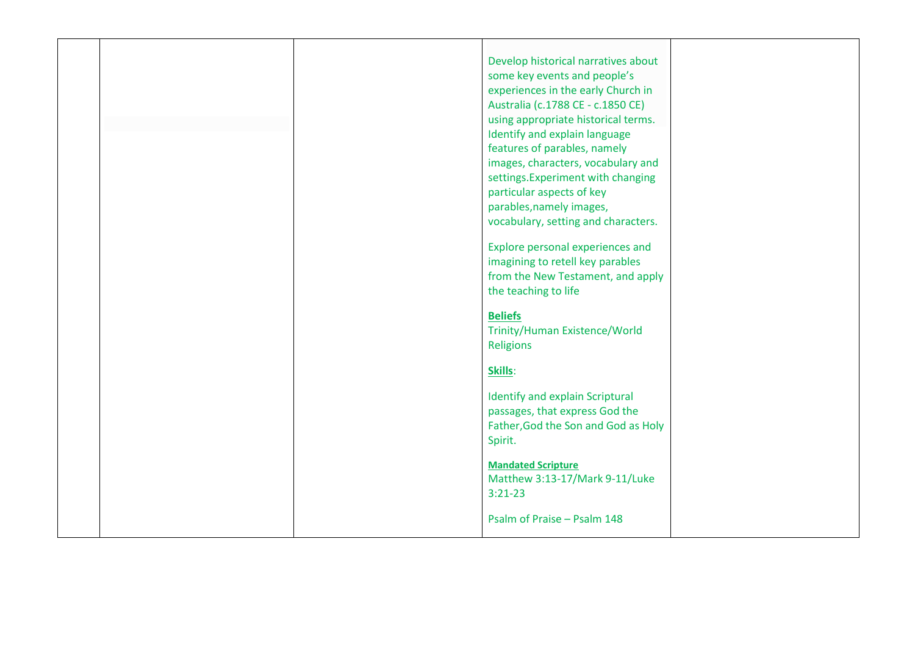|  | Develop historical narratives about<br>some key events and people's<br>experiences in the early Church in<br>Australia (c.1788 CE - c.1850 CE)                                                                                                                                   |  |
|--|----------------------------------------------------------------------------------------------------------------------------------------------------------------------------------------------------------------------------------------------------------------------------------|--|
|  | using appropriate historical terms.<br>Identify and explain language<br>features of parables, namely<br>images, characters, vocabulary and<br>settings. Experiment with changing<br>particular aspects of key<br>parables, namely images,<br>vocabulary, setting and characters. |  |
|  | Explore personal experiences and<br>imagining to retell key parables<br>from the New Testament, and apply<br>the teaching to life                                                                                                                                                |  |
|  | <b>Beliefs</b><br>Trinity/Human Existence/World<br><b>Religions</b><br>Skills:                                                                                                                                                                                                   |  |
|  | Identify and explain Scriptural<br>passages, that express God the<br>Father, God the Son and God as Holy<br>Spirit.                                                                                                                                                              |  |
|  | <b>Mandated Scripture</b><br>Matthew 3:13-17/Mark 9-11/Luke<br>$3:21-23$<br>Psalm of Praise - Psalm 148                                                                                                                                                                          |  |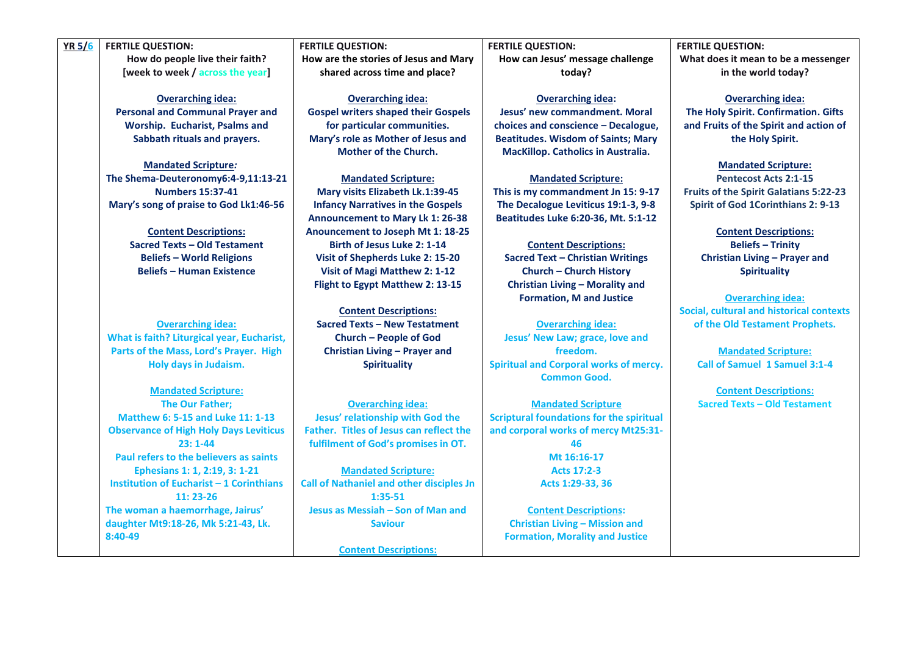## **YR 5/6 FERTILE QUESTION:**

**How do people live their faith? [week to week / across the year]**

**Overarching idea: Personal and Communal Prayer and Worship. Eucharist, Psalms and Sabbath rituals and prayers.**

**Mandated Scripture***:* **The Shema-Deuteronomy6:4-9,11:13-21 Numbers 15:37-41 Mary's song of praise to God Lk1:46-56**

> **Content Descriptions: Sacred Texts – Old Testament Beliefs – World Religions Beliefs – Human Existence**

**Overarching idea: What is faith? Liturgical year, Eucharist, Parts of the Mass, Lord's Prayer. High Holy days in Judaism.**

**Mandated Scripture: The Our Father; Matthew 6: 5-15 and Luke 11: 1-13 Observance of High Holy Days Leviticus 23: 1-44 Paul refers to the believers as saints Ephesians 1: 1, 2:19, 3: 1-21 Institution of Eucharist – 1 Corinthians 11: 23-26 The woman a haemorrhage, Jairus' daughter Mt9:18-26, Mk 5:21-43, Lk. 8:40-49**

**FERTILE QUESTION: How are the stories of Jesus and Mary shared across time and place?**

**Overarching idea: Gospel writers shaped their Gospels for particular communities. Mary's role as Mother of Jesus and Mother of the Church.**

**Mandated Scripture: Mary visits Elizabeth Lk.1:39-45 Infancy Narratives in the Gospels Announcement to Mary Lk 1: 26-38 Anouncement to Joseph Mt 1: 18-25 Birth of Jesus Luke 2: 1-14 Visit of Shepherds Luke 2: 15-20 Visit of Magi Matthew 2: 1-12 Flight to Egypt Matthew 2: 13-15**

**Content Descriptions: Sacred Texts – New Testatment Church – People of God Christian Living – Prayer and Spirituality**

**Overarching idea: Jesus' relationship with God the Father. Titles of Jesus can reflect the fulfilment of God's promises in OT.**

**Mandated Scripture: Call of Nathaniel and other disciples Jn 1:35-51 Jesus as Messiah – Son of Man and Saviour**

**Content Descriptions:**

**FERTILE QUESTION: How can Jesus' message challenge today?**

**Overarching idea: Jesus' new commandment. Moral choices and conscience – Decalogue, Beatitudes. Wisdom of Saints; Mary MacKillop. Catholics in Australia.**

**Mandated Scripture: This is my commandment Jn 15: 9-17 The Decalogue Leviticus 19:1-3, 9-8 Beatitudes Luke 6:20-36, Mt. 5:1-12**

**Content Descriptions: Sacred Text – Christian Writings Church – Church History Christian Living – Morality and Formation, M and Justice**

**Overarching idea: Jesus' New Law; grace, love and freedom. Spiritual and Corporal works of mercy. Common Good.**

**Mandated Scripture Scriptural foundations for the spiritual and corporal works of mercy Mt25:31- 46 Mt 16:16-17 Acts 17:2-3 Acts 1:29-33, 36**

**Content Descriptions: Christian Living – Mission and Formation, Morality and Justice** **FERTILE QUESTION: What does it mean to be a messenger in the world today?**

**Overarching idea: The Holy Spirit. Confirmation. Gifts and Fruits of the Spirit and action of the Holy Spirit.**

**Mandated Scripture: Pentecost Acts 2:1-15 Fruits of the Spirit Galatians 5:22-23 Spirit of God 1Corinthians 2: 9-13**

> **Content Descriptions: Beliefs – Trinity Christian Living – Prayer and Spirituality**

**Overarching idea: Social, cultural and historical contexts of the Old Testament Prophets.**

**Mandated Scripture: Call of Samuel 1 Samuel 3:1-4**

**Content Descriptions: Sacred Texts – Old Testament**